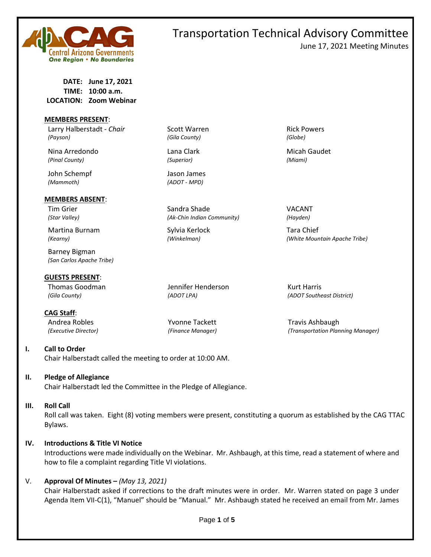

June 17, 2021 Meeting Minutes

**DATE: June 17, 2021 TIME: 10:00 a.m. LOCATION: Zoom Webinar**

#### **MEMBERS PRESENT**:

Larry Halberstadt - *Chair* Scott Warren **Rick Powers** Rick Powers *(Payson) (Gila County) (Globe)*

Nina Arredondo **Lana Clark** Micah Gaudet Micah Gaudet *(Pinal County) (Superior) (Miami)*

John Schempf Jason James *(Mammoth) (ADOT - MPD)*

#### **MEMBERS ABSENT**:

Martina Burnam Sylvia Kerlock Tara Chief

Barney Bigman *(San Carlos Apache Tribe)*

**GUESTS PRESENT**:

Thomas Goodman Jennifer Henderson Kurt Harris

**I. Call to Order** 

**CAG Staff**:

Chair Halberstadt called the meeting to order at 10:00 AM.

### **II. Pledge of Allegiance**

Chair Halberstadt led the Committee in the Pledge of Allegiance.

#### **III. Roll Call**

Roll call was taken. Eight (8) voting members were present, constituting a quorum as established by the CAG TTAC Bylaws.

### **IV. Introductions & Title VI Notice**

Introductions were made individually on the Webinar. Mr. Ashbaugh, at this time, read a statement of where and how to file a complaint regarding Title VI violations.

### V. **Approval Of Minutes –** *(May 13, 2021)*

Chair Halberstadt asked if corrections to the draft minutes were in order. Mr. Warren stated on page 3 under Agenda Item VII-C(1), "Manuel" should be "Manual." Mr. Ashbaugh stated he received an email from Mr. James

Tim Grier National Sandra Shade Shade VACANT *(Star Valley) (Ak-Chin Indian Community) (Hayden)*

*(Kearny) (Winkelman) (White Mountain Apache Tribe)*

*(Gila County) (ADOT LPA) (ADOT Southeast District)*

Andrea Robles Travis Ashbaugh Travis Ashbaugh Travis Ashbaugh *(Executive Director) (Finance Manager) (Transportation Planning Manager)*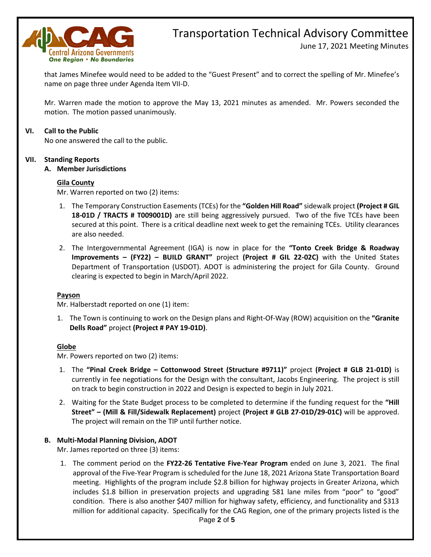

June 17, 2021 Meeting Minutes

that James Minefee would need to be added to the "Guest Present" and to correct the spelling of Mr. Minefee's name on page three under Agenda Item VII-D.

Mr. Warren made the motion to approve the May 13, 2021 minutes as amended. Mr. Powers seconded the motion. The motion passed unanimously.

### **VI. Call to the Public**

No one answered the call to the public.

### **VII. Standing Reports**

**A. Member Jurisdictions**

### **Gila County**

Mr. Warren reported on two (2) items:

- 1. The Temporary Construction Easements (TCEs) for the **"Golden Hill Road"** sidewalk project **(Project # GIL 18-01D / TRACTS # T009001D)** are still being aggressively pursued. Two of the five TCEs have been secured at this point. There is a critical deadline next week to get the remaining TCEs. Utility clearances are also needed.
- 2. The Intergovernmental Agreement (IGA) is now in place for the **"Tonto Creek Bridge & Roadway Improvements – (FY22) – BUILD GRANT"** project **(Project # GIL 22-02C)** with the United States Department of Transportation (USDOT). ADOT is administering the project for Gila County. Ground clearing is expected to begin in March/April 2022.

#### **Payson**

Mr. Halberstadt reported on one (1) item:

1. The Town is continuing to work on the Design plans and Right-Of-Way (ROW) acquisition on the **"Granite Dells Road"** project **(Project # PAY 19-01D)**.

### **Globe**

Mr. Powers reported on two (2) items:

- 1. The **"Pinal Creek Bridge – Cottonwood Street (Structure #9711)"** project **(Project # GLB 21-01D)** is currently in fee negotiations for the Design with the consultant, Jacobs Engineering. The project is still on track to begin construction in 2022 and Design is expected to begin in July 2021.
- 2. Waiting for the State Budget process to be completed to determine if the funding request for the **"Hill Street" – (Mill & Fill/Sidewalk Replacement)** project **(Project # GLB 27-01D/29-01C)** will be approved. The project will remain on the TIP until further notice.

### **B. Multi-Modal Planning Division, ADOT**

Mr. James reported on three (3) items:

1. The comment period on the **FY22-26 Tentative Five-Year Program** ended on June 3, 2021. The final approval of the Five-Year Program is scheduled for the June 18, 2021 Arizona State Transportation Board meeting. Highlights of the program include \$2.8 billion for highway projects in Greater Arizona, which includes \$1.8 billion in preservation projects and upgrading 581 lane miles from "poor" to "good" condition. There is also another \$407 million for highway safety, efficiency, and functionality and \$313 million for additional capacity. Specifically for the CAG Region, one of the primary projects listed is the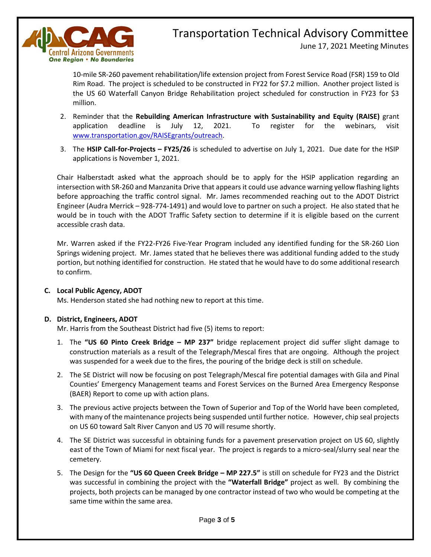

June 17, 2021 Meeting Minutes

10-mile SR-260 pavement rehabilitation/life extension project from Forest Service Road (FSR) 159 to Old Rim Road. The project is scheduled to be constructed in FY22 for \$7.2 million. Another project listed is the US 60 Waterfall Canyon Bridge Rehabilitation project scheduled for construction in FY23 for \$3 million.

- 2. Reminder that the **Rebuilding American Infrastructure with Sustainability and Equity (RAISE)** grant application deadline is July 12, 2021. To register for the webinars, visit [www.transportation.gov/RAISEgrants/outreach.](http://www.transportation.gov/RAISEgrants/outreach)
- 3. The **HSIP Call-for-Projects – FY25/26** is scheduled to advertise on July 1, 2021. Due date for the HSIP applications is November 1, 2021.

Chair Halberstadt asked what the approach should be to apply for the HSIP application regarding an intersection with SR-260 and Manzanita Drive that appears it could use advance warning yellow flashing lights before approaching the traffic control signal. Mr. James recommended reaching out to the ADOT District Engineer (Audra Merrick – 928-774-1491) and would love to partner on such a project. He also stated that he would be in touch with the ADOT Traffic Safety section to determine if it is eligible based on the current accessible crash data.

Mr. Warren asked if the FY22-FY26 Five-Year Program included any identified funding for the SR-260 Lion Springs widening project. Mr. James stated that he believes there was additional funding added to the study portion, but nothing identified for construction. He stated that he would have to do some additional research to confirm.

### **C. Local Public Agency, ADOT**

Ms. Henderson stated she had nothing new to report at this time.

### **D. District, Engineers, ADOT**

Mr. Harris from the Southeast District had five (5) items to report:

- 1. The **"US 60 Pinto Creek Bridge – MP 237"** bridge replacement project did suffer slight damage to construction materials as a result of the Telegraph/Mescal fires that are ongoing. Although the project was suspended for a week due to the fires, the pouring of the bridge deck is still on schedule.
- 2. The SE District will now be focusing on post Telegraph/Mescal fire potential damages with Gila and Pinal Counties' Emergency Management teams and Forest Services on the Burned Area Emergency Response (BAER) Report to come up with action plans.
- 3. The previous active projects between the Town of Superior and Top of the World have been completed, with many of the maintenance projects being suspended until further notice. However, chip seal projects on US 60 toward Salt River Canyon and US 70 will resume shortly.
- 4. The SE District was successful in obtaining funds for a pavement preservation project on US 60, slightly east of the Town of Miami for next fiscal year. The project is regards to a micro-seal/slurry seal near the cemetery.
- 5. The Design for the **"US 60 Queen Creek Bridge – MP 227.5"** is still on schedule for FY23 and the District was successful in combining the project with the **"Waterfall Bridge"** project as well. By combining the projects, both projects can be managed by one contractor instead of two who would be competing at the same time within the same area.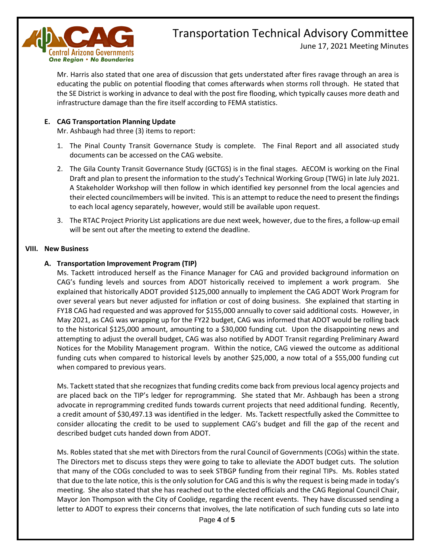

June 17, 2021 Meeting Minutes

Mr. Harris also stated that one area of discussion that gets understated after fires ravage through an area is educating the public on potential flooding that comes afterwards when storms roll through. He stated that the SE District is working in advance to deal with the post fire flooding, which typically causes more death and infrastructure damage than the fire itself according to FEMA statistics.

### **E. CAG Transportation Planning Update**

Mr. Ashbaugh had three (3) items to report:

- 1. The Pinal County Transit Governance Study is complete. The Final Report and all associated study documents can be accessed on the CAG website.
- 2. The Gila County Transit Governance Study (GCTGS) is in the final stages. AECOM is working on the Final Draft and plan to present the information to the study's Technical Working Group (TWG) in late July 2021. A Stakeholder Workshop will then follow in which identified key personnel from the local agencies and their elected councilmembers will be invited. This is an attempt to reduce the need to present the findings to each local agency separately, however, would still be available upon request.
- 3. The RTAC Project Priority List applications are due next week, however, due to the fires, a follow-up email will be sent out after the meeting to extend the deadline.

### **VIII. New Business**

### **A. Transportation Improvement Program (TIP)**

Ms. Tackett introduced herself as the Finance Manager for CAG and provided background information on CAG's funding levels and sources from ADOT historically received to implement a work program. She explained that historically ADOT provided \$125,000 annually to implement the CAG ADOT Work Program for over several years but never adjusted for inflation or cost of doing business. She explained that starting in FY18 CAG had requested and was approved for \$155,000 annually to cover said additional costs. However, in May 2021, as CAG was wrapping up for the FY22 budget, CAG was informed that ADOT would be rolling back to the historical \$125,000 amount, amounting to a \$30,000 funding cut. Upon the disappointing news and attempting to adjust the overall budget, CAG was also notified by ADOT Transit regarding Preliminary Award Notices for the Mobility Management program. Within the notice, CAG viewed the outcome as additional funding cuts when compared to historical levels by another \$25,000, a now total of a \$55,000 funding cut when compared to previous years.

Ms. Tackett stated that she recognizes that funding credits come back from previous local agency projects and are placed back on the TIP's ledger for reprogramming. She stated that Mr. Ashbaugh has been a strong advocate in reprogramming credited funds towards current projects that need additional funding. Recently, a credit amount of \$30,497.13 was identified in the ledger. Ms. Tackett respectfully asked the Committee to consider allocating the credit to be used to supplement CAG's budget and fill the gap of the recent and described budget cuts handed down from ADOT.

Ms. Robles stated that she met with Directors from the rural Council of Governments (COGs) within the state. The Directors met to discuss steps they were going to take to alleviate the ADOT budget cuts. The solution that many of the COGs concluded to was to seek STBGP funding from their reginal TIPs. Ms. Robles stated that due to the late notice, this is the only solution for CAG and this is why the request is being made in today's meeting. She also stated that she has reached out to the elected officials and the CAG Regional Council Chair, Mayor Jon Thompson with the City of Coolidge, regarding the recent events. They have discussed sending a letter to ADOT to express their concerns that involves, the late notification of such funding cuts so late into